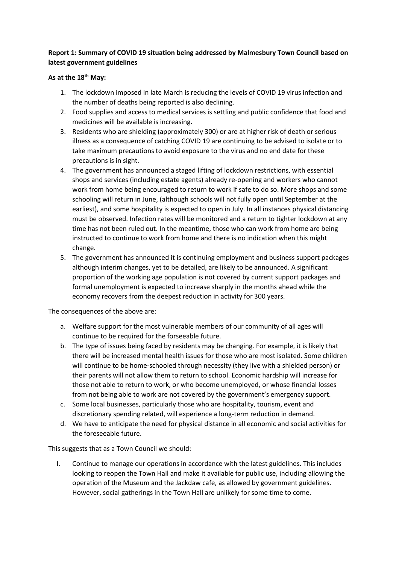# **Report 1: Summary of COVID 19 situation being addressed by Malmesbury Town Council based on latest government guidelines**

## **As at the 18th May:**

- 1. The lockdown imposed in late March is reducing the levels of COVID 19 virus infection and the number of deaths being reported is also declining.
- 2. Food supplies and access to medical services is settling and public confidence that food and medicines will be available is increasing.
- 3. Residents who are shielding (approximately 300) or are at higher risk of death or serious illness as a consequence of catching COVID 19 are continuing to be advised to isolate or to take maximum precautions to avoid exposure to the virus and no end date for these precautions is in sight.
- 4. The government has announced a staged lifting of lockdown restrictions, with essential shops and services (including estate agents) already re-opening and workers who cannot work from home being encouraged to return to work if safe to do so. More shops and some schooling will return in June, (although schools will not fully open until September at the earliest), and some hospitality is expected to open in July. In all instances physical distancing must be observed. Infection rates will be monitored and a return to tighter lockdown at any time has not been ruled out. In the meantime, those who can work from home are being instructed to continue to work from home and there is no indication when this might change.
- 5. The government has announced it is continuing employment and business support packages although interim changes, yet to be detailed, are likely to be announced. A significant proportion of the working age population is not covered by current support packages and formal unemployment is expected to increase sharply in the months ahead while the economy recovers from the deepest reduction in activity for 300 years.

The consequences of the above are:

- a. Welfare support for the most vulnerable members of our community of all ages will continue to be required for the forseeable future.
- b. The type of issues being faced by residents may be changing. For example, it is likely that there will be increased mental health issues for those who are most isolated. Some children will continue to be home-schooled through necessity (they live with a shielded person) or their parents will not allow them to return to school. Economic hardship will increase for those not able to return to work, or who become unemployed, or whose financial losses from not being able to work are not covered by the government's emergency support.
- c. Some local businesses, particularly those who are hospitality, tourism, event and discretionary spending related, will experience a long-term reduction in demand.
- d. We have to anticipate the need for physical distance in all economic and social activities for the foreseeable future.

This suggests that as a Town Council we should:

I. Continue to manage our operations in accordance with the latest guidelines. This includes looking to reopen the Town Hall and make it available for public use, including allowing the operation of the Museum and the Jackdaw cafe, as allowed by government guidelines. However, social gatherings in the Town Hall are unlikely for some time to come.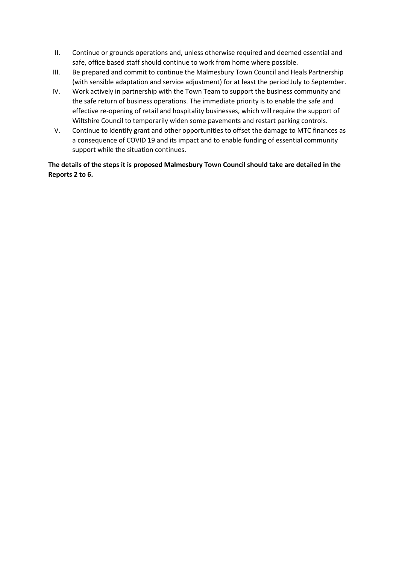- II. Continue or grounds operations and, unless otherwise required and deemed essential and safe, office based staff should continue to work from home where possible.
- III. Be prepared and commit to continue the Malmesbury Town Council and Heals Partnership (with sensible adaptation and service adjustment) for at least the period July to September.
- IV. Work actively in partnership with the Town Team to support the business community and the safe return of business operations. The immediate priority is to enable the safe and effective re-opening of retail and hospitality businesses, which will require the support of Wiltshire Council to temporarily widen some pavements and restart parking controls.
- V. Continue to identify grant and other opportunities to offset the damage to MTC finances as a consequence of COVID 19 and its impact and to enable funding of essential community support while the situation continues.

**The details of the steps it is proposed Malmesbury Town Council should take are detailed in the Reports 2 to 6.**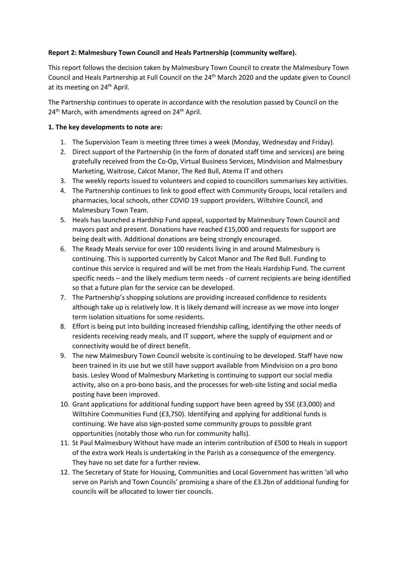## **Report 2: Malmesbury Town Council and Heals Partnership (community welfare).**

This report follows the decision taken by Malmesbury Town Council to create the Malmesbury Town Council and Heals Partnership at Full Council on the 24th March 2020 and the update given to Council at its meeting on 24<sup>th</sup> April.

The Partnership continues to operate in accordance with the resolution passed by Council on the  $24<sup>th</sup>$  March, with amendments agreed on  $24<sup>th</sup>$  April.

### **1. The key developments to note are:**

- 1. The Supervision Team is meeting three times a week (Monday, Wednesday and Friday).
- 2. Direct support of the Partnership (in the form of donated staff time and services) are being gratefully received from the Co-Op, Virtual Business Services, Mindvision and Malmesbury Marketing, Waitrose, Calcot Manor, The Red Bull, Atema IT and others
- 3. The weekly reports issued to volunteers and copied to councillors summarises key activities.
- 4. The Partnership continues to link to good effect with Community Groups, local retailers and pharmacies, local schools, other COVID 19 support providers, Wiltshire Council, and Malmesbury Town Team.
- 5. Heals has launched a Hardship Fund appeal, supported by Malmesbury Town Council and mayors past and present. Donations have reached £15,000 and requests for support are being dealt with. Additional donations are being strongly encouraged.
- 6. The Ready Meals service for over 100 residents living in and around Malmesbury is continuing. This is supported currently by Calcot Manor and The Red Bull. Funding to continue this service is required and will be met from the Heals Hardship Fund. The current specific needs – and the likely medium term needs - of current recipients are being identified so that a future plan for the service can be developed.
- 7. The Partnership's shopping solutions are providing increased confidence to residents although take up is relatively low. It is likely demand will increase as we move into longer term isolation situations for some residents.
- 8. Effort is being put into building increased friendship calling, identifying the other needs of residents receiving ready meals, and IT support, where the supply of equipment and or connectivity would be of direct benefit.
- 9. The new Malmesbury Town Council website is continuing to be developed. Staff have now been trained in its use but we still have support available from Mindvision on a pro bono basis. Lesley Wood of Malmesbury Marketing is continuing to support our social media activity, also on a pro-bono basis, and the processes for web-site listing and social media posting have been improved.
- 10. Grant applications for additional funding support have been agreed by SSE (£3,000) and Wiltshire Communities Fund (£3,750). Identifying and applying for additional funds is continuing. We have also sign-posted some community groups to possible grant opportunities (notably those who run for community halls).
- 11. St Paul Malmesbury Without have made an interim contribution of £500 to Heals in support of the extra work Heals is undertaking in the Parish as a consequence of the emergency. They have no set date for a further review.
- 12. The Secretary of State for Housing, Communities and Local Government has written 'all who serve on Parish and Town Councils' promising a share of the £3.2bn of additional funding for councils will be allocated to lower tier councils.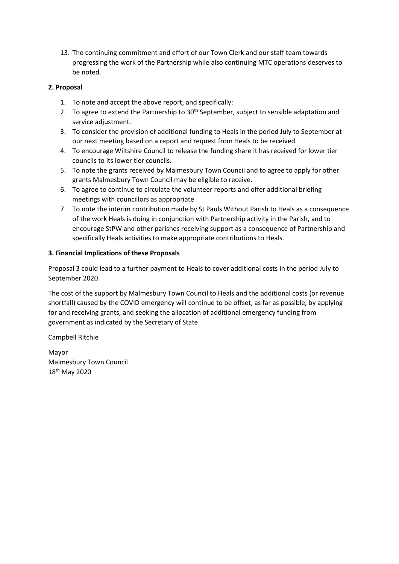13. The continuing commitment and effort of our Town Clerk and our staff team towards progressing the work of the Partnership while also continuing MTC operations deserves to be noted.

## **2. Proposal**

- 1. To note and accept the above report, and specifically:
- 2. To agree to extend the Partnership to  $30<sup>th</sup>$  September, subject to sensible adaptation and service adjustment.
- 3. To consider the provision of additional funding to Heals in the period July to September at our next meeting based on a report and request from Heals to be received.
- 4. To encourage Wiltshire Council to release the funding share it has received for lower tier councils to its lower tier councils.
- 5. To note the grants received by Malmesbury Town Council and to agree to apply for other grants Malmesbury Town Council may be eligible to receive.
- 6. To agree to continue to circulate the volunteer reports and offer additional briefing meetings with councillors as appropriate
- 7. To note the interim contribution made by St Pauls Without Parish to Heals as a consequence of the work Heals is doing in conjunction with Partnership activity in the Parish, and to encourage StPW and other parishes receiving support as a consequence of Partnership and specifically Heals activities to make appropriate contributions to Heals.

## **3. Financial Implications of these Proposals**

Proposal 3 could lead to a further payment to Heals to cover additional costs in the period July to September 2020.

The cost of the support by Malmesbury Town Council to Heals and the additional costs (or revenue shortfall) caused by the COVID emergency will continue to be offset, as far as possible, by applying for and receiving grants, and seeking the allocation of additional emergency funding from government as indicated by the Secretary of State.

Campbell Ritchie

Mayor Malmesbury Town Council 18th May 2020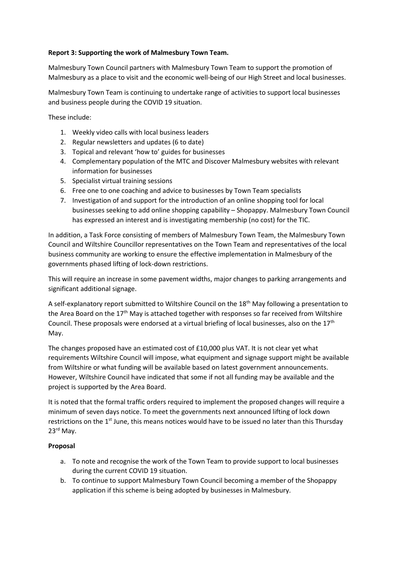### **Report 3: Supporting the work of Malmesbury Town Team.**

Malmesbury Town Council partners with Malmesbury Town Team to support the promotion of Malmesbury as a place to visit and the economic well-being of our High Street and local businesses.

Malmesbury Town Team is continuing to undertake range of activities to support local businesses and business people during the COVID 19 situation.

These include:

- 1. Weekly video calls with local business leaders
- 2. Regular newsletters and updates (6 to date)
- 3. Topical and relevant 'how to' guides for businesses
- 4. Complementary population of the MTC and Discover Malmesbury websites with relevant information for businesses
- 5. Specialist virtual training sessions
- 6. Free one to one coaching and advice to businesses by Town Team specialists
- 7. Investigation of and support for the introduction of an online shopping tool for local businesses seeking to add online shopping capability – Shopappy. Malmesbury Town Council has expressed an interest and is investigating membership (no cost) for the TIC.

In addition, a Task Force consisting of members of Malmesbury Town Team, the Malmesbury Town Council and Wiltshire Councillor representatives on the Town Team and representatives of the local business community are working to ensure the effective implementation in Malmesbury of the governments phased lifting of lock-down restrictions.

This will require an increase in some pavement widths, major changes to parking arrangements and significant additional signage.

A self-explanatory report submitted to Wiltshire Council on the 18<sup>th</sup> May following a presentation to the Area Board on the 17<sup>th</sup> May is attached together with responses so far received from Wiltshire Council. These proposals were endorsed at a virtual briefing of local businesses, also on the  $17<sup>th</sup>$ May.

The changes proposed have an estimated cost of £10,000 plus VAT. It is not clear yet what requirements Wiltshire Council will impose, what equipment and signage support might be available from Wiltshire or what funding will be available based on latest government announcements. However, Wiltshire Council have indicated that some if not all funding may be available and the project is supported by the Area Board.

It is noted that the formal traffic orders required to implement the proposed changes will require a minimum of seven days notice. To meet the governments next announced lifting of lock down restrictions on the 1<sup>st</sup> June, this means notices would have to be issued no later than this Thursday 23rd May.

### **Proposal**

- a. To note and recognise the work of the Town Team to provide support to local businesses during the current COVID 19 situation.
- b. To continue to support Malmesbury Town Council becoming a member of the Shopappy application if this scheme is being adopted by businesses in Malmesbury.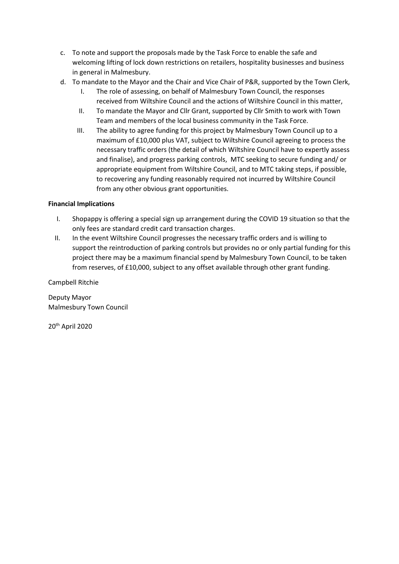- c. To note and support the proposals made by the Task Force to enable the safe and welcoming lifting of lock down restrictions on retailers, hospitality businesses and business in general in Malmesbury.
- d. To mandate to the Mayor and the Chair and Vice Chair of P&R, supported by the Town Clerk,
	- I. The role of assessing, on behalf of Malmesbury Town Council, the responses received from Wiltshire Council and the actions of Wiltshire Council in this matter,
	- II. To mandate the Mayor and Cllr Grant, supported by Cllr Smith to work with Town Team and members of the local business community in the Task Force.
	- III. The ability to agree funding for this project by Malmesbury Town Council up to a maximum of £10,000 plus VAT, subject to Wiltshire Council agreeing to process the necessary traffic orders (the detail of which Wiltshire Council have to expertly assess and finalise), and progress parking controls, MTC seeking to secure funding and/ or appropriate equipment from Wiltshire Council, and to MTC taking steps, if possible, to recovering any funding reasonably required not incurred by Wiltshire Council from any other obvious grant opportunities.

## **Financial Implications**

- I. Shopappy is offering a special sign up arrangement during the COVID 19 situation so that the only fees are standard credit card transaction charges.
- II. In the event Wiltshire Council progresses the necessary traffic orders and is willing to support the reintroduction of parking controls but provides no or only partial funding for this project there may be a maximum financial spend by Malmesbury Town Council, to be taken from reserves, of £10,000, subject to any offset available through other grant funding.

Campbell Ritchie

Deputy Mayor Malmesbury Town Council

20th April 2020